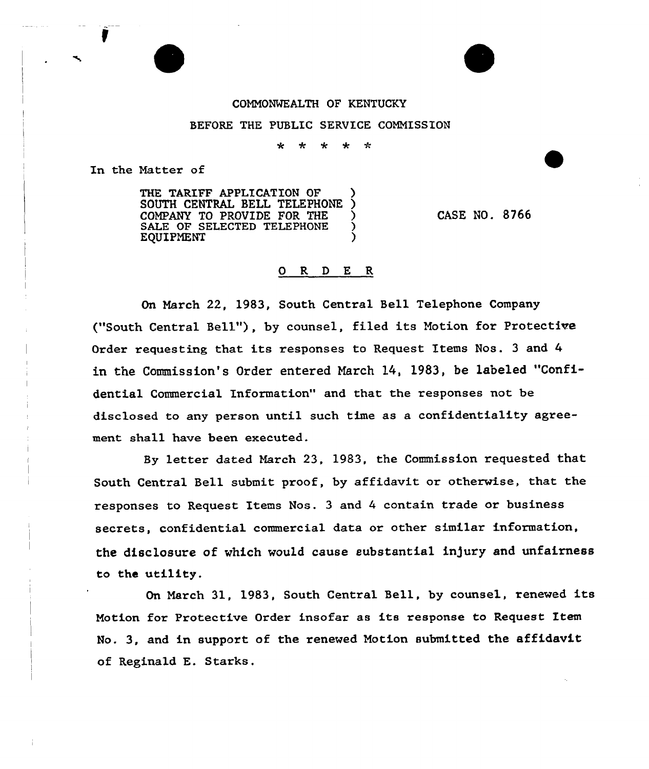## COMMONWEALTH OF KENTUCKY

## BEFORE THE PUBLIC SERVICE COMMISSION

 $\mathbf{r}_{\mathbf{r}}$ ÷ ÷ 士 -t-

In the Natter of

THE TARIFF APPLICATION OF SOUTH CENTRAL BELL TELEPHONE COMPANY TO PROVIDE FOR THE ) SALE OF SELECTED TELEPHONE ) **EQUIPMENT** 

CASE NO. 8766

## 0 R <sup>D</sup> E R

On March 22, 1983, South Central Bell Telephone Company ("South Central Bell"), by counsel, filed its Motion for Protective Order requesting that its responses to Request Items Nos. <sup>3</sup> and 4 in the Commission's Order entered March 14, 1983, be labeled "Confidential Commercial Information" and that the responses not be disclosed to any person until such time as a confidentiality agreement shall have been executed.

By letter dated March 23, 1983, the Commission requested that South Central Bell submit proof, by affidavit or otherwise, that the responses to Request Items Nos. 3 and 4 contain trade or business secrets, confidential commercial data or other similar information, the disclosure of which would cause substantial in)ury and unfairness to the utility.

On March 31, 1983, South Central Bell, by counsel, renewed its Motion for Protective Order insofar as its response to Request Item No. 3, and in support of the renewed Motion submitted the affidavit of Reginald E. Starks.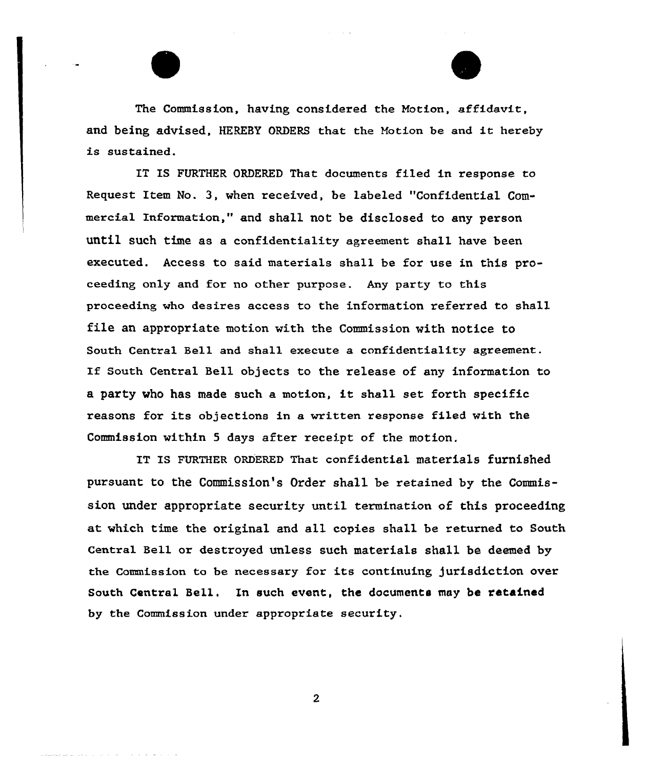The Commission, having considered the Notion, affidavit, and being advised, HEREBY ORDERS that the Motion be and it hereby is sustained.

IT IS FURTHER ORDERED That documents filed in response to Request Item No. 3, when received, be labeled "Confidential Commercial Information," and shall not be disclosed to any person until such time as a confidentiality agreement shall have been executed. Access to said materials shall be for use in this proceeding only and for no other purpose. Any party to this proceeding who desires access to the information referred to shall file an appropriate motion with the Commission with notice to South Central Bell and shall execute a confidentiality agreement. If South Central Bell objects to the release of any information to <sup>a</sup> party who has made such <sup>a</sup> motion, it shall set forth specific reasons for its objections in a written response filed with the Commission within <sup>5</sup> days after receipt of the motion.

IT IS FURTHER ORDERED That confidential materials furnished pursuant to the Commission's Order shall be retained by the Commission under appropriate security until termination of this proceeding at which time the original and all copies shall be returned to South Central Bell or destroyed unless such materials shall be deemed by the Commission to be necessary for its continuing jurisdiction over South Central Bell. Xn such event, the documents may be ratained by the Commission under appropriate security.

 $\overline{2}$